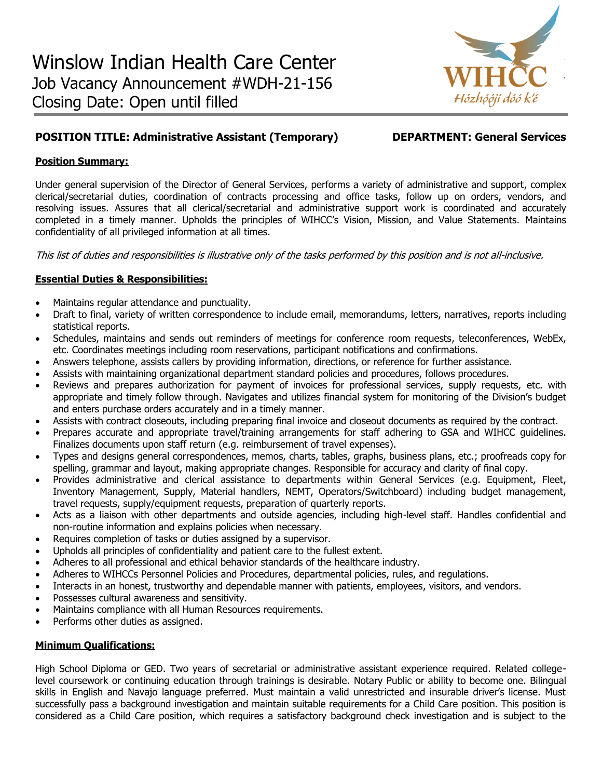

# **POSITION TITLE: Administrative Assistant (Temporary) DEPARTMENT: General Services**

# **Position Summary:**

Under general supervision of the Director of General Services, performs a variety of administrative and support, complex clerical/secretarial duties, coordination of contracts processing and office tasks, follow up on orders, vendors, and resolving issues. Assures that all clerical/secretarial and administrative support work is coordinated and accurately completed in a timely manner. Upholds the principles of WIHCC's Vision, Mission, and Value Statements. Maintains confidentiality of all privileged information at all times.

This list of duties and responsibilities is illustrative only of the tasks performed by this position and is not all-inclusive.

# **Essential Duties & Responsibilities:**

- Maintains regular attendance and punctuality.
- Draft to final, variety of written correspondence to include email, memorandums, letters, narratives, reports including statistical reports.
- Schedules, maintains and sends out reminders of meetings for conference room requests, teleconferences, WebEx, etc. Coordinates meetings including room reservations, participant notifications and confirmations.
- Answers telephone, assists callers by providing information, directions, or reference for further assistance.
- Assists with maintaining organizational department standard policies and procedures, follows procedures.
- Reviews and prepares authorization for payment of invoices for professional services, supply requests, etc. with appropriate and timely follow through. Navigates and utilizes financial system for monitoring of the Division's budget and enters purchase orders accurately and in a timely manner.
- Assists with contract closeouts, including preparing final invoice and closeout documents as required by the contract.
- Prepares accurate and appropriate travel/training arrangements for staff adhering to GSA and WIHCC guidelines. Finalizes documents upon staff return (e.g. reimbursement of travel expenses).
- Types and designs general correspondences, memos, charts, tables, graphs, business plans, etc.; proofreads copy for spelling, grammar and layout, making appropriate changes. Responsible for accuracy and clarity of final copy.
- Provides administrative and clerical assistance to departments within General Services (e.g. Equipment, Fleet, Inventory Management, Supply, Material handlers, NEMT, Operators/Switchboard) including budget management, travel requests, supply/equipment requests, preparation of quarterly reports.
- Acts as a liaison with other departments and outside agencies, including high-level staff. Handles confidential and non-routine information and explains policies when necessary.
- Requires completion of tasks or duties assigned by a supervisor.
- Upholds all principles of confidentiality and patient care to the fullest extent.
- Adheres to all professional and ethical behavior standards of the healthcare industry.
- Adheres to WIHCCs Personnel Policies and Procedures, departmental policies, rules, and regulations.
- Interacts in an honest, trustworthy and dependable manner with patients, employees, visitors, and vendors.
- Possesses cultural awareness and sensitivity.
- Maintains compliance with all Human Resources requirements.
- Performs other duties as assigned.

### **Minimum Qualifications:**

High School Diploma or GED. Two years of secretarial or administrative assistant experience required. Related collegelevel coursework or continuing education through trainings is desirable. Notary Public or ability to become one. Bilingual skills in English and Navajo language preferred. Must maintain a valid unrestricted and insurable driver's license. Must successfully pass a background investigation and maintain suitable requirements for a Child Care position. This position is considered as a Child Care position, which requires a satisfactory background check investigation and is subject to the